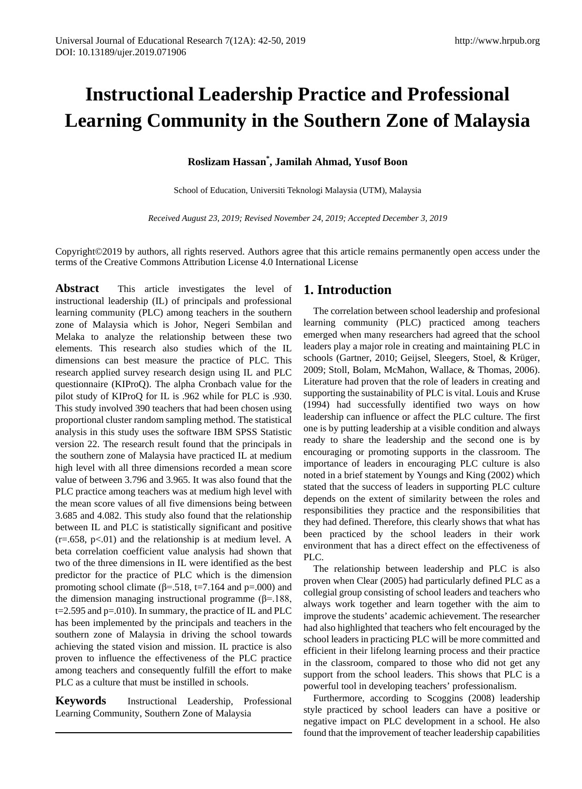# **Instructional Leadership Practice and Professional Learning Community in the Southern Zone of Malaysia**

## **Roslizam Hassan\* , Jamilah Ahmad, Yusof Boon**

School of Education, Universiti Teknologi Malaysia (UTM), Malaysia

*Received August 23, 2019; Revised November 24, 2019; Accepted December 3, 2019*

Copyright©2019 by authors, all rights reserved. Authors agree that this article remains permanently open access under the terms of the Creative Commons Attribution License 4.0 International License

**Abstract** This article investigates the level of instructional leadership (IL) of principals and professional learning community (PLC) among teachers in the southern zone of Malaysia which is Johor, Negeri Sembilan and Melaka to analyze the relationship between these two elements. This research also studies which of the IL dimensions can best measure the practice of PLC. This research applied survey research design using IL and PLC questionnaire (KIProQ). The alpha Cronbach value for the pilot study of KIProQ for IL is .962 while for PLC is .930. This study involved 390 teachers that had been chosen using proportional cluster random sampling method. The statistical analysis in this study uses the software IBM SPSS Statistic version 22. The research result found that the principals in the southern zone of Malaysia have practiced IL at medium high level with all three dimensions recorded a mean score value of between 3.796 and 3.965. It was also found that the PLC practice among teachers was at medium high level with the mean score values of all five dimensions being between 3.685 and 4.082. This study also found that the relationship between IL and PLC is statistically significant and positive  $(r=.658, p<.01)$  and the relationship is at medium level. A beta correlation coefficient value analysis had shown that two of the three dimensions in IL were identified as the best predictor for the practice of PLC which is the dimension promoting school climate ( $\beta$ =.518, t=7.164 and p=.000) and the dimension managing instructional programme ( $\beta$ =.188,  $t=2.595$  and  $p=.010$ . In summary, the practice of IL and PLC has been implemented by the principals and teachers in the southern zone of Malaysia in driving the school towards achieving the stated vision and mission. IL practice is also proven to influence the effectiveness of the PLC practice among teachers and consequently fulfill the effort to make PLC as a culture that must be instilled in schools.

**Keywords** Instructional Leadership, Professional Learning Community, Southern Zone of Malaysia

## **1. Introduction**

The correlation between school leadership and profesional learning community (PLC) practiced among teachers emerged when many researchers had agreed that the school leaders play a major role in creating and maintaining PLC in schools (Gartner, 2010; Geijsel, Sleegers, Stoel, & Krüger, 2009; Stoll, Bolam, McMahon, Wallace, & Thomas, 2006). Literature had proven that the role of leaders in creating and supporting the sustainability of PLC is vital. Louis and Kruse (1994) had successfully identified two ways on how leadership can influence or affect the PLC culture. The first one is by putting leadership at a visible condition and always ready to share the leadership and the second one is by encouraging or promoting supports in the classroom. The importance of leaders in encouraging PLC culture is also noted in a brief statement by Youngs and King (2002) which stated that the success of leaders in supporting PLC culture depends on the extent of similarity between the roles and responsibilities they practice and the responsibilities that they had defined. Therefore, this clearly shows that what has been practiced by the school leaders in their work environment that has a direct effect on the effectiveness of PLC.

The relationship between leadership and PLC is also proven when Clear (2005) had particularly defined PLC as a collegial group consisting of school leaders and teachers who always work together and learn together with the aim to improve the students' academic achievement. The researcher had also highlighted that teachers who felt encouraged by the school leaders in practicing PLC will be more committed and efficient in their lifelong learning process and their practice in the classroom, compared to those who did not get any support from the school leaders. This shows that PLC is a powerful tool in developing teachers' professionalism.

Furthermore, according to Scoggins (2008) leadership style practiced by school leaders can have a positive or negative impact on PLC development in a school. He also found that the improvement of teacher leadership capabilities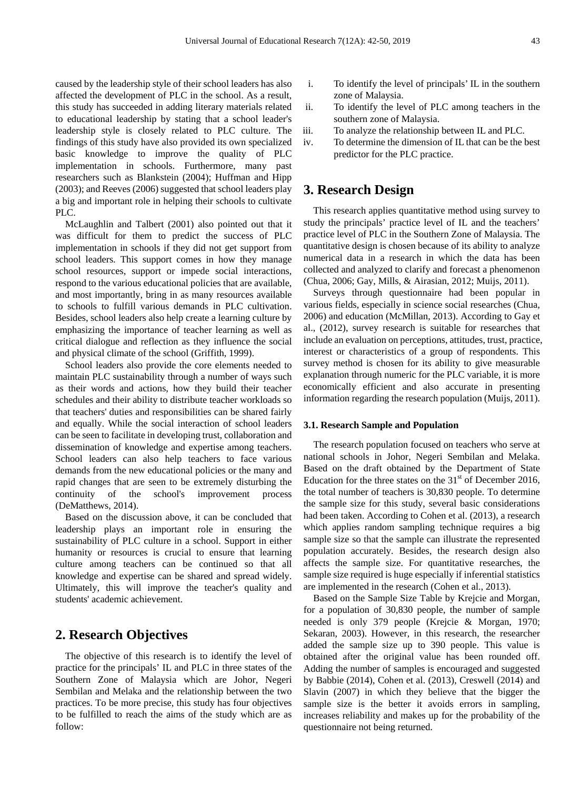caused by the leadership style of their school leaders has also affected the development of PLC in the school. As a result, this study has succeeded in adding literary materials related to educational leadership by stating that a school leader's leadership style is closely related to PLC culture. The findings of this study have also provided its own specialized basic knowledge to improve the quality of PLC implementation in schools. Furthermore, many past researchers such as Blankstein (2004); Huffman and Hipp (2003); and Reeves (2006) suggested that school leaders play a big and important role in helping their schools to cultivate PLC.

McLaughlin and Talbert (2001) also pointed out that it was difficult for them to predict the success of PLC implementation in schools if they did not get support from school leaders. This support comes in how they manage school resources, support or impede social interactions, respond to the various educational policies that are available, and most importantly, bring in as many resources available to schools to fulfill various demands in PLC cultivation. Besides, school leaders also help create a learning culture by emphasizing the importance of teacher learning as well as critical dialogue and reflection as they influence the social and physical climate of the school (Griffith, 1999).

School leaders also provide the core elements needed to maintain PLC sustainability through a number of ways such as their words and actions, how they build their teacher schedules and their ability to distribute teacher workloads so that teachers' duties and responsibilities can be shared fairly and equally. While the social interaction of school leaders can be seen to facilitate in developing trust, collaboration and dissemination of knowledge and expertise among teachers. School leaders can also help teachers to face various demands from the new educational policies or the many and rapid changes that are seen to be extremely disturbing the continuity of the school's improvement process (DeMatthews, 2014).

Based on the discussion above, it can be concluded that leadership plays an important role in ensuring the sustainability of PLC culture in a school. Support in either humanity or resources is crucial to ensure that learning culture among teachers can be continued so that all knowledge and expertise can be shared and spread widely. Ultimately, this will improve the teacher's quality and students' academic achievement.

# **2. Research Objectives**

The objective of this research is to identify the level of practice for the principals' IL and PLC in three states of the Southern Zone of Malaysia which are Johor, Negeri Sembilan and Melaka and the relationship between the two practices. To be more precise, this study has four objectives to be fulfilled to reach the aims of the study which are as follow:

- i. To identify the level of principals' IL in the southern zone of Malaysia.
- ii. To identify the level of PLC among teachers in the southern zone of Malaysia.
- iii. To analyze the relationship between IL and PLC.
- iv. To determine the dimension of IL that can be the best predictor for the PLC practice.

## **3. Research Design**

This research applies quantitative method using survey to study the principals' practice level of IL and the teachers' practice level of PLC in the Southern Zone of Malaysia. The quantitative design is chosen because of its ability to analyze numerical data in a research in which the data has been collected and analyzed to clarify and forecast a phenomenon (Chua, 2006; Gay, Mills, & Airasian, 2012; Muijs, 2011).

Surveys through questionnaire had been popular in various fields, especially in science social researches (Chua, 2006) and education (McMillan, 2013). According to Gay et al., (2012), survey research is suitable for researches that include an evaluation on perceptions, attitudes, trust, practice, interest or characteristics of a group of respondents. This survey method is chosen for its ability to give measurable explanation through numeric for the PLC variable, it is more economically efficient and also accurate in presenting information regarding the research population (Muijs, 2011).

#### **3.1. Research Sample and Population**

The research population focused on teachers who serve at national schools in Johor, Negeri Sembilan and Melaka. Based on the draft obtained by the Department of State Education for the three states on the  $31<sup>st</sup>$  of December 2016, the total number of teachers is 30,830 people. To determine the sample size for this study, several basic considerations had been taken. According to Cohen et al. (2013), a research which applies random sampling technique requires a big sample size so that the sample can illustrate the represented population accurately. Besides, the research design also affects the sample size. For quantitative researches, the sample size required is huge especially if inferential statistics are implemented in the research (Cohen et al., 2013).

Based on the Sample Size Table by Krejcie and Morgan, for a population of 30,830 people, the number of sample needed is only 379 people (Krejcie & Morgan, 1970; Sekaran, 2003). However, in this research, the researcher added the sample size up to 390 people. This value is obtained after the original value has been rounded off. Adding the number of samples is encouraged and suggested by Babbie (2014), Cohen et al. (2013), Creswell (2014) and Slavin (2007) in which they believe that the bigger the sample size is the better it avoids errors in sampling, increases reliability and makes up for the probability of the questionnaire not being returned.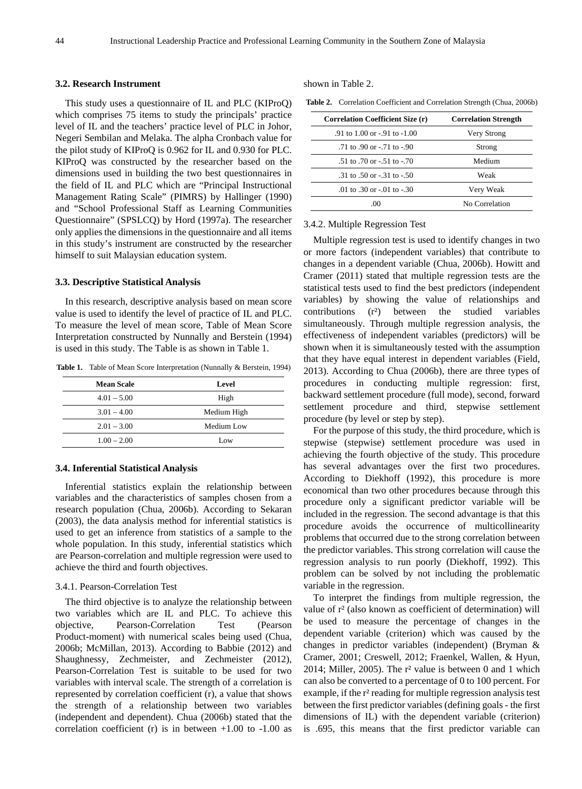#### **3.2. Research Instrument**

This study uses a questionnaire of IL and PLC (KIProQ) which comprises 75 items to study the principals' practice level of IL and the teachers' practice level of PLC in Johor, Negeri Sembilan and Melaka. The alpha Cronbach value for the pilot study of KIProQ is 0.962 for IL and 0.930 for PLC. KIProQ was constructed by the researcher based on the dimensions used in building the two best questionnaires in the field of IL and PLC which are "Principal Instructional Management Rating Scale" (PIMRS) by Hallinger (1990) and "School Professional Staff as Learning Communities Questionnaire" (SPSLCQ) by Hord (1997a). The researcher only applies the dimensions in the questionnaire and all items in this study's instrument are constructed by the researcher himself to suit Malaysian education system.

#### **3.3. Descriptive Statistical Analysis**

In this research, descriptive analysis based on mean score value is used to identify the level of practice of IL and PLC. To measure the level of mean score, Table of Mean Score Interpretation constructed by Nunnally and Berstein (1994) is used in this study. The Table is as shown in Table 1.

**Table 1.** Table of Mean Score Interpretation (Nunnally & Berstein, 1994)

| <b>Mean Scale</b> | Level       |
|-------------------|-------------|
| $4.01 - 5.00$     | High        |
| $3.01 - 4.00$     | Medium High |
| $2.01 - 3.00$     | Medium Low  |
| $1.00 - 2.00$     | Low         |

#### **3.4. Inferential Statistical Analysis**

Inferential statistics explain the relationship between variables and the characteristics of samples chosen from a research population (Chua, 2006b). According to Sekaran (2003), the data analysis method for inferential statistics is used to get an inference from statistics of a sample to the whole population. In this study, inferential statistics which are Pearson-correlation and multiple regression were used to achieve the third and fourth objectives.

#### 3.4.1. Pearson-Correlation Test

The third objective is to analyze the relationship between two variables which are IL and PLC. To achieve this objective, Pearson-Correlation Test (Pearson Product-moment) with numerical scales being used (Chua, 2006b; McMillan, 2013). According to Babbie (2012) and Shaughnessy, Zechmeister, and Zechmeister (2012), Pearson-Correlation Test is suitable to be used for two variables with interval scale. The strength of a correlation is represented by correlation coefficient (r), a value that shows the strength of a relationship between two variables (independent and dependent). Chua (2006b) stated that the correlation coefficient (r) is in between  $+1.00$  to  $-1.00$  as shown in Table 2.

**Table 2.** Correlation Coefficient and Correlation Strength (Chua, 2006b)

| <b>Correlation Coefficient Size (r)</b> | <b>Correlation Strength</b> |
|-----------------------------------------|-----------------------------|
| .91 to 1.00 or $-91$ to $-1.00$         | Very Strong                 |
| .71 to .90 or $-71$ to $-90$            | Strong                      |
| $.51$ to $.70$ or $-.51$ to $-.70$      | Medium                      |
| .31 to .50 or $-31$ to $-50$            | Weak                        |
| .01 to .30 or $-01$ to $-30$            | Very Weak                   |
| .00                                     | No Correlation              |

#### 3.4.2. Multiple Regression Test

Multiple regression test is used to identify changes in two or more factors (independent variables) that contribute to changes in a dependent variable (Chua, 2006b). Howitt and Cramer (2011) stated that multiple regression tests are the statistical tests used to find the best predictors (independent variables) by showing the value of relationships and contributions (r²) between the studied variables simultaneously. Through multiple regression analysis, the effectiveness of independent variables (predictors) will be shown when it is simultaneously tested with the assumption that they have equal interest in dependent variables (Field, 2013). According to Chua (2006b), there are three types of procedures in conducting multiple regression: first, backward settlement procedure (full mode), second, forward settlement procedure and third, stepwise settlement procedure (by level or step by step).

For the purpose of this study, the third procedure, which is stepwise (stepwise) settlement procedure was used in achieving the fourth objective of the study. This procedure has several advantages over the first two procedures. According to Diekhoff (1992), this procedure is more economical than two other procedures because through this procedure only a significant predictor variable will be included in the regression. The second advantage is that this procedure avoids the occurrence of multicollinearity problems that occurred due to the strong correlation between the predictor variables. This strong correlation will cause the regression analysis to run poorly (Diekhoff, 1992). This problem can be solved by not including the problematic variable in the regression.

To interpret the findings from multiple regression, the value of r² (also known as coefficient of determination) will be used to measure the percentage of changes in the dependent variable (criterion) which was caused by the changes in predictor variables (independent) (Bryman & Cramer, 2001; Creswell, 2012; Fraenkel, Wallen, & Hyun, 2014; Miller, 2005). The r² value is between 0 and 1 which can also be converted to a percentage of 0 to 100 percent. For example, if the r<sup>2</sup> reading for multiple regression analysis test between the first predictor variables (defining goals - the first dimensions of IL) with the dependent variable (criterion) is .695, this means that the first predictor variable can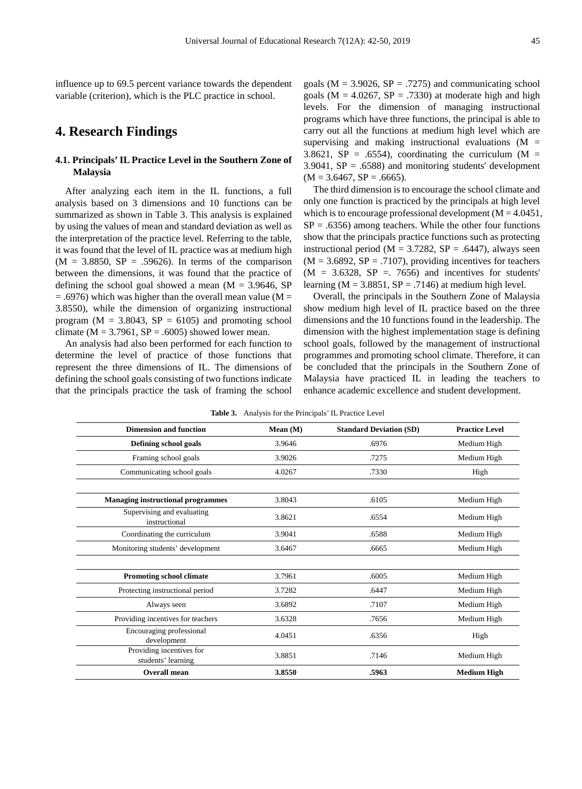influence up to 69.5 percent variance towards the dependent variable (criterion), which is the PLC practice in school.

# **4. Research Findings**

## **4.1. Principals' IL Practice Level in the Southern Zone of Malaysia**

After analyzing each item in the IL functions, a full analysis based on 3 dimensions and 10 functions can be summarized as shown in Table 3. This analysis is explained by using the values of mean and standard deviation as well as the interpretation of the practice level. Referring to the table, it was found that the level of IL practice was at medium high  $(M = 3.8850, SP = .59626)$ . In terms of the comparison between the dimensions, it was found that the practice of defining the school goal showed a mean  $(M = 3.9646, SP)$  $= .6976$ ) which was higher than the overall mean value (M  $=$ 3.8550), while the dimension of organizing instructional program ( $M = 3.8043$ ,  $SP = 6105$ ) and promoting school climate ( $M = 3.7961$ ,  $SP = .6005$ ) showed lower mean.

An analysis had also been performed for each function to determine the level of practice of those functions that represent the three dimensions of IL. The dimensions of defining the school goals consisting of two functions indicate that the principals practice the task of framing the school goals ( $M = 3.9026$ ,  $SP = .7275$ ) and communicating school goals ( $M = 4.0267$ ,  $SP = .7330$ ) at moderate high and high levels. For the dimension of managing instructional programs which have three functions, the principal is able to carry out all the functions at medium high level which are supervising and making instructional evaluations  $(M =$ 3.8621, SP = .6554), coordinating the curriculum ( $M =$ 3.9041,  $SP = .6588$ ) and monitoring students' development  $(M = 3.6467, SP = .6665).$ 

The third dimension is to encourage the school climate and only one function is practiced by the principals at high level which is to encourage professional development ( $M = 4.0451$ ,  $SP = .6356$ ) among teachers. While the other four functions show that the principals practice functions such as protecting instructional period ( $M = 3.7282$ ,  $SP = .6447$ ), always seen  $(M = 3.6892, SP = .7107)$ , providing incentives for teachers  $(M = 3.6328, SP = 7656)$  and incentives for students' learning ( $M = 3.8851$ ,  $SP = .7146$ ) at medium high level.

Overall, the principals in the Southern Zone of Malaysia show medium high level of IL practice based on the three dimensions and the 10 functions found in the leadership. The dimension with the highest implementation stage is defining school goals, followed by the management of instructional programmes and promoting school climate. Therefore, it can be concluded that the principals in the Southern Zone of Malaysia have practiced IL in leading the teachers to enhance academic excellence and student development.

| <b>Dimension and function</b>                  | Mean $(M)$ | <b>Standard Deviation (SD)</b> | <b>Practice Level</b> |
|------------------------------------------------|------------|--------------------------------|-----------------------|
| Defining school goals                          | 3.9646     | .6976                          | Medium High           |
| Framing school goals                           | 3.9026     | .7275                          | Medium High           |
| Communicating school goals                     | 4.0267     | .7330                          | High                  |
|                                                |            |                                |                       |
| <b>Managing instructional programmes</b>       | 3.8043     | .6105                          | Medium High           |
| Supervising and evaluating<br>instructional    | 3.8621     | .6554                          | Medium High           |
| Coordinating the curriculum                    | 3.9041     | .6588                          | Medium High           |
| Monitoring students' development               | 3.6467     | .6665                          | Medium High           |
|                                                |            |                                |                       |
| <b>Promoting school climate</b>                | 3.7961     | .6005                          | Medium High           |
| Protecting instructional period                | 3.7282     | .6447                          | Medium High           |
| Always seen                                    | 3.6892     | .7107                          | Medium High           |
| Providing incentives for teachers              | 3.6328     | .7656                          | Medium High           |
| Encouraging professional<br>development        | 4.0451     | .6356                          | High                  |
| Providing incentives for<br>students' learning | 3.8851     | .7146                          | Medium High           |
| Overall mean                                   | 3.8550     | .5963                          | <b>Medium High</b>    |

**Table 3.** Analysis for the Principals' IL Practice Level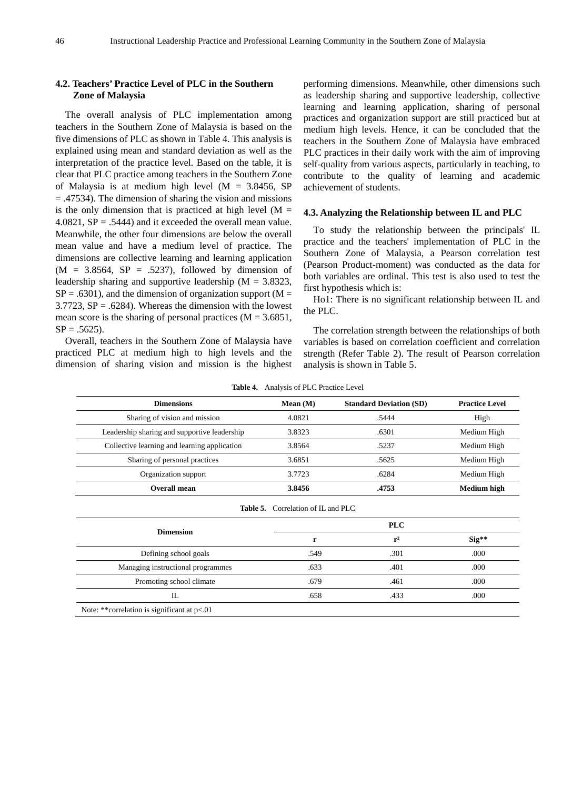### **4.2. Teachers' Practice Level of PLC in the Southern Zone of Malaysia**

The overall analysis of PLC implementation among teachers in the Southern Zone of Malaysia is based on the five dimensions of PLC as shown in Table 4. This analysis is explained using mean and standard deviation as well as the interpretation of the practice level. Based on the table, it is clear that PLC practice among teachers in the Southern Zone of Malaysia is at medium high level  $(M = 3.8456, SP)$ = .47534). The dimension of sharing the vision and missions is the only dimension that is practiced at high level  $(M =$ 4.0821,  $SP = .5444$ ) and it exceeded the overall mean value. Meanwhile, the other four dimensions are below the overall mean value and have a medium level of practice. The dimensions are collective learning and learning application  $(M = 3.8564, SP = .5237)$ , followed by dimension of leadership sharing and supportive leadership ( $M = 3.8323$ ,  $SP = .6301$ ), and the dimension of organization support (M =  $3.7723$ ,  $SP = .6284$ ). Whereas the dimension with the lowest mean score is the sharing of personal practices  $(M = 3.6851,$  $SP = .5625$ .

Overall, teachers in the Southern Zone of Malaysia have practiced PLC at medium high to high levels and the dimension of sharing vision and mission is the highest

performing dimensions. Meanwhile, other dimensions such as leadership sharing and supportive leadership, collective learning and learning application, sharing of personal practices and organization support are still practiced but at medium high levels. Hence, it can be concluded that the teachers in the Southern Zone of Malaysia have embraced PLC practices in their daily work with the aim of improving self-quality from various aspects, particularly in teaching, to contribute to the quality of learning and academic achievement of students.

#### **4.3. Analyzing the Relationship between IL and PLC**

To study the relationship between the principals' IL practice and the teachers' implementation of PLC in the Southern Zone of Malaysia, a Pearson correlation test (Pearson Product-moment) was conducted as the data for both variables are ordinal. This test is also used to test the first hypothesis which is:

Ho1: There is no significant relationship between IL and the PLC.

The correlation strength between the relationships of both variables is based on correlation coefficient and correlation strength (Refer Table 2). The result of Pearson correlation analysis is shown in Table 5.

|  | <b>Table 4.</b> Analysis of PLC Practice Level |  |  |  |
|--|------------------------------------------------|--|--|--|
|--|------------------------------------------------|--|--|--|

| <b>Dimensions</b>                             | Mean $(M)$                     | <b>Standard Deviation (SD)</b> | <b>Practice Level</b> |  |  |  |  |
|-----------------------------------------------|--------------------------------|--------------------------------|-----------------------|--|--|--|--|
| Sharing of vision and mission                 | 4.0821                         | .5444                          | High                  |  |  |  |  |
| Leadership sharing and supportive leadership  | 3.8323                         | .6301                          | Medium High           |  |  |  |  |
| Collective learning and learning application  | 3.8564                         | .5237                          | Medium High           |  |  |  |  |
| Sharing of personal practices                 | 3.6851                         | .5625                          | Medium High           |  |  |  |  |
| Organization support                          | 3.7723                         | .6284                          | Medium High           |  |  |  |  |
| Overall mean                                  | 3.8456<br>.4753<br>Medium high |                                |                       |  |  |  |  |
| Correlation of IL and PLC<br>Table 5.         |                                |                                |                       |  |  |  |  |
| <b>PLC</b><br><b>Dimension</b>                |                                |                                |                       |  |  |  |  |
|                                               | r                              | $r^2$                          | $Sig**$               |  |  |  |  |
| Defining school goals                         | .549                           | .301                           | .000                  |  |  |  |  |
| Managing instructional programmes             | .633                           | .401                           | .000                  |  |  |  |  |
| Promoting school climate                      | .679                           | .461                           | .000                  |  |  |  |  |
| $\mathbf{L}$                                  | .658                           | .433                           | .000                  |  |  |  |  |
| Note: ** correlation is significant at $p<01$ |                                |                                |                       |  |  |  |  |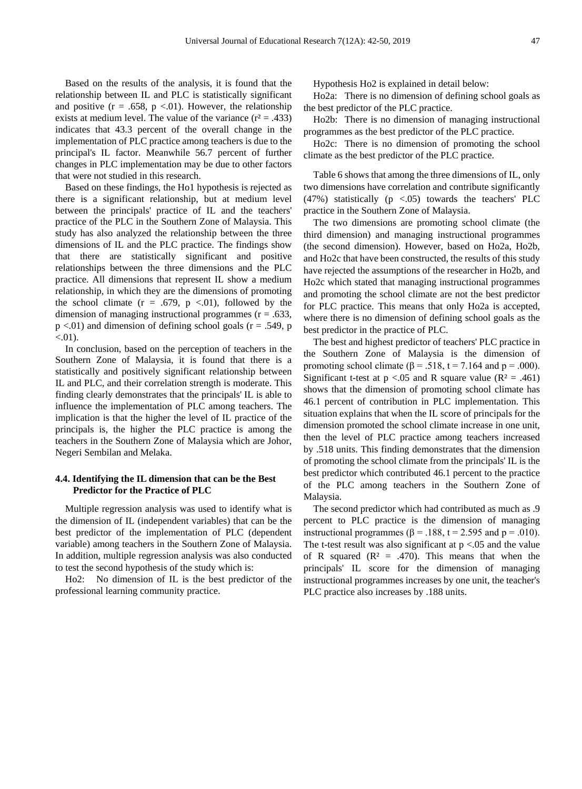Based on the results of the analysis, it is found that the relationship between IL and PLC is statistically significant and positive  $(r = .658, p < .01)$ . However, the relationship exists at medium level. The value of the variance  $(r^2 = .433)$ indicates that 43.3 percent of the overall change in the implementation of PLC practice among teachers is due to the principal's IL factor. Meanwhile 56.7 percent of further changes in PLC implementation may be due to other factors that were not studied in this research.

Based on these findings, the Ho1 hypothesis is rejected as there is a significant relationship, but at medium level between the principals' practice of IL and the teachers' practice of the PLC in the Southern Zone of Malaysia. This study has also analyzed the relationship between the three dimensions of IL and the PLC practice. The findings show that there are statistically significant and positive relationships between the three dimensions and the PLC practice. All dimensions that represent IL show a medium relationship, in which they are the dimensions of promoting the school climate  $(r = .679, p < .01)$ , followed by the dimension of managing instructional programmes ( $r = .633$ ,  $p \lt 0.01$ ) and dimension of defining school goals ( $r = .549$ , p  $< 01$ ).

In conclusion, based on the perception of teachers in the Southern Zone of Malaysia, it is found that there is a statistically and positively significant relationship between IL and PLC, and their correlation strength is moderate. This finding clearly demonstrates that the principals' IL is able to influence the implementation of PLC among teachers. The implication is that the higher the level of IL practice of the principals is, the higher the PLC practice is among the teachers in the Southern Zone of Malaysia which are Johor, Negeri Sembilan and Melaka.

#### **4.4. Identifying the IL dimension that can be the Best Predictor for the Practice of PLC**

Multiple regression analysis was used to identify what is the dimension of IL (independent variables) that can be the best predictor of the implementation of PLC (dependent variable) among teachers in the Southern Zone of Malaysia. In addition, multiple regression analysis was also conducted to test the second hypothesis of the study which is:

Ho2: No dimension of IL is the best predictor of the professional learning community practice.

Hypothesis Ho2 is explained in detail below:

Ho2a: There is no dimension of defining school goals as the best predictor of the PLC practice.

Ho2b: There is no dimension of managing instructional programmes as the best predictor of the PLC practice.

Ho2c: There is no dimension of promoting the school climate as the best predictor of the PLC practice.

Table 6 shows that among the three dimensions of IL, only two dimensions have correlation and contribute significantly (47%) statistically  $(p \lt 0.05)$  towards the teachers' PLC practice in the Southern Zone of Malaysia.

The two dimensions are promoting school climate (the third dimension) and managing instructional programmes (the second dimension). However, based on Ho2a, Ho2b, and Ho2c that have been constructed, the results of this study have rejected the assumptions of the researcher in Ho2b, and Ho2c which stated that managing instructional programmes and promoting the school climate are not the best predictor for PLC practice. This means that only Ho2a is accepted, where there is no dimension of defining school goals as the best predictor in the practice of PLC.

The best and highest predictor of teachers' PLC practice in the Southern Zone of Malaysia is the dimension of promoting school climate ( $\beta$  = .518, t = 7.164 and p = .000). Significant t-test at  $p < 0.05$  and R square value (R<sup>2</sup> = .461) shows that the dimension of promoting school climate has 46.1 percent of contribution in PLC implementation. This situation explains that when the IL score of principals for the dimension promoted the school climate increase in one unit, then the level of PLC practice among teachers increased by .518 units. This finding demonstrates that the dimension of promoting the school climate from the principals' IL is the best predictor which contributed 46.1 percent to the practice of the PLC among teachers in the Southern Zone of Malaysia.

The second predictor which had contributed as much as .9 percent to PLC practice is the dimension of managing instructional programmes ( $β = .188$ ,  $t = 2.595$  and  $p = .010$ ). The t-test result was also significant at  $p < 0.05$  and the value of R squared  $(R<sup>2</sup> = .470)$ . This means that when the principals' IL score for the dimension of managing instructional programmes increases by one unit, the teacher's PLC practice also increases by .188 units.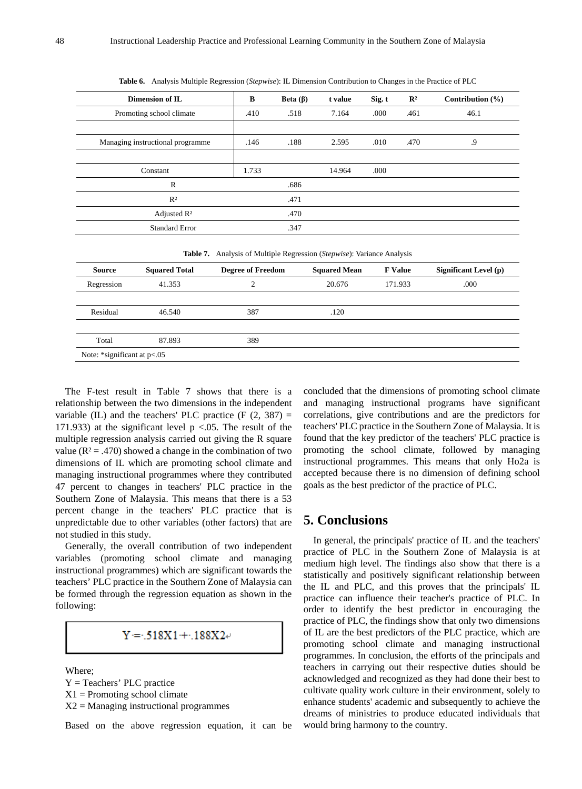| Dimension of IL                  | B     | Beta $(\beta)$ | t value | Sig. t | $\mathbb{R}^2$ | Contribution $(\% )$ |
|----------------------------------|-------|----------------|---------|--------|----------------|----------------------|
| Promoting school climate         | .410  | .518           | 7.164   | .000   | .461           | 46.1                 |
| Managing instructional programme | .146  | .188           | 2.595   | .010   | .470           | .9                   |
| Constant                         | 1.733 |                | 14.964  | .000   |                |                      |
| $\mathbb{R}$                     |       | .686           |         |        |                |                      |
| $R^2$                            |       | .471           |         |        |                |                      |
| Adjusted $\mathbb{R}^2$          |       | .470           |         |        |                |                      |
| <b>Standard Error</b>            |       | .347           |         |        |                |                      |

**Table 6.** Analysis Multiple Regression (*Stepwise*): IL Dimension Contribution to Changes in the Practice of PLC

|  |  | Table 7. Analysis of Multiple Regression (Stepwise): Variance Analysis |  |  |  |  |
|--|--|------------------------------------------------------------------------|--|--|--|--|
|--|--|------------------------------------------------------------------------|--|--|--|--|

| <b>Source</b>                     | <b>Squared Total</b> | <b>Degree of Freedom</b> | <b>Squared Mean</b> | <b>F</b> Value | <b>Significant Level (p)</b> |
|-----------------------------------|----------------------|--------------------------|---------------------|----------------|------------------------------|
| Regression                        | 41.353               | ◠                        | 20.676              | 171.933        | .000                         |
|                                   |                      |                          |                     |                |                              |
| Residual                          | 46.540               | 387                      | .120                |                |                              |
|                                   |                      |                          |                     |                |                              |
| Total                             | 87.893               | 389                      |                     |                |                              |
| Note: $*$ significant at $p<0.05$ |                      |                          |                     |                |                              |

The F-test result in Table 7 shows that there is a relationship between the two dimensions in the independent variable (IL) and the teachers' PLC practice  $(F (2, 387)) =$ 171.933) at the significant level  $p < .05$ . The result of the multiple regression analysis carried out giving the R square value ( $R^2 = .470$ ) showed a change in the combination of two dimensions of IL which are promoting school climate and managing instructional programmes where they contributed 47 percent to changes in teachers' PLC practice in the Southern Zone of Malaysia. This means that there is a 53 percent change in the teachers' PLC practice that is unpredictable due to other variables (other factors) that are not studied in this study.

Generally, the overall contribution of two independent variables (promoting school climate and managing instructional programmes) which are significant towards the teachers' PLC practice in the Southern Zone of Malaysia can be formed through the regression equation as shown in the following:

 $Y = .518X1 + .188X2 +$ 

Where;

Y = Teachers' PLC practice  $X1$  = Promoting school climate

 $X2 =$  Managing instructional programmes

Based on the above regression equation, it can be

concluded that the dimensions of promoting school climate and managing instructional programs have significant correlations, give contributions and are the predictors for teachers' PLC practice in the Southern Zone of Malaysia. It is found that the key predictor of the teachers' PLC practice is promoting the school climate, followed by managing instructional programmes. This means that only Ho2a is accepted because there is no dimension of defining school goals as the best predictor of the practice of PLC.

## **5. Conclusions**

In general, the principals' practice of IL and the teachers' practice of PLC in the Southern Zone of Malaysia is at medium high level. The findings also show that there is a statistically and positively significant relationship between the IL and PLC, and this proves that the principals' IL practice can influence their teacher's practice of PLC. In order to identify the best predictor in encouraging the practice of PLC, the findings show that only two dimensions of IL are the best predictors of the PLC practice, which are promoting school climate and managing instructional programmes. In conclusion, the efforts of the principals and teachers in carrying out their respective duties should be acknowledged and recognized as they had done their best to cultivate quality work culture in their environment, solely to enhance students' academic and subsequently to achieve the dreams of ministries to produce educated individuals that would bring harmony to the country.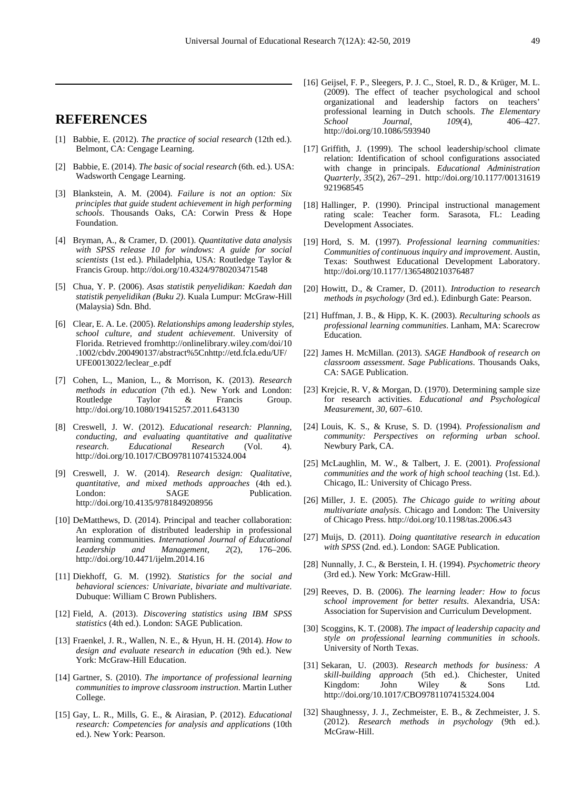# **REFERENCES**

- [1] Babbie, E. (2012). *The practice of social research* (12th ed.). Belmont, CA: Cengage Learning.
- [2] Babbie, E. (2014). *The basic of social research* (6th. ed.). USA: Wadsworth Cengage Learning.
- [3] Blankstein, A. M. (2004). *Failure is not an option: Six principles that guide student achievement in high performing schools*. Thousands Oaks, CA: Corwin Press & Hope Foundation.
- [4] Bryman, A., & Cramer, D. (2001). *Quantitative data analysis with SPSS release 10 for windows: A guide for social scientists* (1st ed.). Philadelphia, USA: Routledge Taylor & Francis Group. http://doi.org/10.4324/9780203471548
- [5] Chua, Y. P. (2006). *Asas statistik penyelidikan: Kaedah dan statistik penyelidikan (Buku 2)*. Kuala Lumpur: McGraw-Hill (Malaysia) Sdn. Bhd.
- [6] Clear, E. A. Le. (2005). *Relationships among leadership styles, school culture, and student achievement*. University of Florida. Retrieved fromhttp://onlinelibrary.wiley.com/doi/10 .1002/cbdv.200490137/abstract%5Cnhttp://etd.fcla.edu/UF/ UFE0013022/leclear\_e.pdf
- [7] Cohen, L., Manion, L., & Morrison, K. (2013). *Research methods in education* (7th ed.). New York and London:<br>Routledge Taylor & Francis Group. Routledge http://doi.org/10.1080/19415257.2011.643130
- [8] Creswell, J. W. (2012). *Educational research: Planning, conducting, and evaluating quantitative and qualitative research*. *Educational Research* (Vol. 4). http://doi.org/10.1017/CBO9781107415324.004
- [9] Creswell, J. W. (2014). *Research design: Qualitative, quantitative, and mixed methods approaches* (4th ed.). London: SAGE Publication. http://doi.org/10.4135/9781849208956
- [10] DeMatthews, D. (2014). Principal and teacher collaboration: An exploration of distributed leadership in professional learning communities. *International Journal of Educational Leadership and Management*, *2*(2), 176–206. http://doi.org/10.4471/ijelm.2014.16
- [11] Diekhoff, G. M. (1992). *Statistics for the social and behavioral sciences: Univariate, bivariate and multivariate*. Dubuque: William C Brown Publishers.
- [12] Field, A. (2013). *Discovering statistics using IBM SPSS statistics* (4th ed.). London: SAGE Publication.
- [13] Fraenkel, J. R., Wallen, N. E., & Hyun, H. H. (2014). *How to design and evaluate research in education* (9th ed.). New York: McGraw-Hill Education.
- [14] Gartner, S. (2010). *The importance of professional learning communities to improve classroom instruction*. Martin Luther College.
- [15] Gay, L. R., Mills, G. E., & Airasian, P. (2012). *Educational research: Competencies for analysis and applications* (10th ed.). New York: Pearson.
- [16] Geijsel, F. P., Sleegers, P. J. C., Stoel, R. D., & Krüger, M. L. (2009). The effect of teacher psychological and school organizational and leadership factors on teachers' professional learning in Dutch schools. *The Elementary School Journal*, *109*(4), 406–427. http://doi.org/10.1086/593940
- [17] Griffith, J. (1999). The school leadership/school climate relation: Identification of school configurations associated with change in principals. *Educational Administration Quarterly*, *35*(2), 267–291. http://doi.org/10.1177/00131619 921968545
- [18] Hallinger, P. (1990). Principal instructional management rating scale: Teacher form. Sarasota, FL: Leading Development Associates.
- [19] Hord, S. M. (1997). *Professional learning communities: Communities of continuous inquiry and improvement*. Austin, Texas: Southwest Educational Development Laboratory. http://doi.org/10.1177/1365480210376487
- [20] Howitt, D., & Cramer, D. (2011). *Introduction to research methods in psychology* (3rd ed.). Edinburgh Gate: Pearson.
- [21] Huffman, J. B., & Hipp, K. K. (2003). *Reculturing schools as professional learning communities*. Lanham, MA: Scarecrow Education.
- [22] James H. McMillan. (2013). *SAGE Handbook of research on classroom assessment*. *Sage Publications*. Thousands Oaks, CA: SAGE Publication.
- [23] Krejcie, R. V, & Morgan, D. (1970). Determining sample size for research activities. *Educational and Psychological Measurement*, *30*, 607–610.
- [24] Louis, K. S., & Kruse, S. D. (1994). *Professionalism and community: Perspectives on reforming urban school*. Newbury Park, CA.
- [25] McLaughlin, M. W., & Talbert, J. E. (2001). *Professional communities and the work of high school teaching* (1st. Ed.). Chicago, IL: University of Chicago Press.
- [26] Miller, J. E. (2005). *The Chicago guide to writing about multivariate analysis*. Chicago and London: The University of Chicago Press. http://doi.org/10.1198/tas.2006.s43
- [27] Muijs, D. (2011). *Doing quantitative research in education with SPSS* (2nd. ed.). London: SAGE Publication.
- [28] Nunnally, J. C., & Berstein, I. H. (1994). *Psychometric theory* (3rd ed.). New York: McGraw-Hill.
- [29] Reeves, D. B. (2006). *The learning leader: How to focus school improvement for better results*. Alexandria, USA: Association for Supervision and Curriculum Development.
- [30] Scoggins, K. T. (2008). *The impact of leadership capacity and style on professional learning communities in schools*. University of North Texas.
- [31] Sekaran, U. (2003). *Research methods for business: A skill-building approach* (5th ed.). Chichester, United Kingdom: John Wiley & Sons Ltd. http://doi.org/10.1017/CBO9781107415324.004
- [32] Shaughnessy, J. J., Zechmeister, E. B., & Zechmeister, J. S. (2012). *Research methods in psychology* (9th ed.). McGraw-Hill.